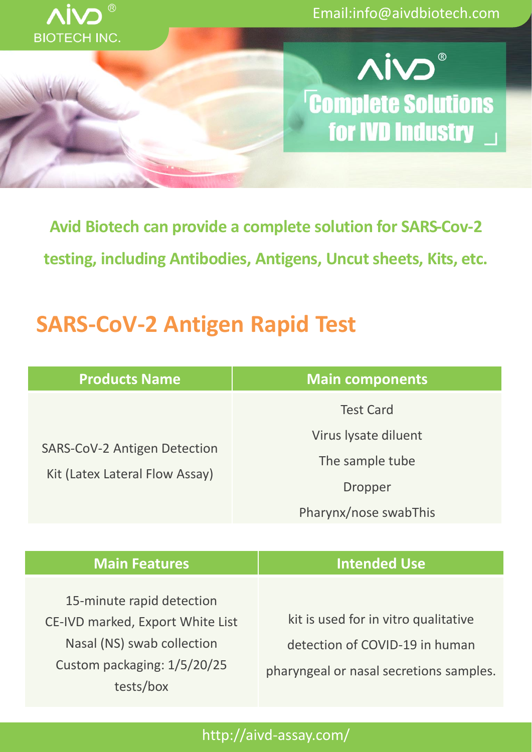

Email:info@aivdbiotech.com



**Avid Biotech can provide a complete solution for SARS-Cov-2 testing, including Antibodies, Antigens, Uncut sheets, Kits, etc.**

# **SARS-CoV-2 Antigen Rapid Test**

| <b>Products Name</b>                                                  | <b>Main components</b> |
|-----------------------------------------------------------------------|------------------------|
| <b>SARS-CoV-2 Antigen Detection</b><br>Kit (Latex Lateral Flow Assay) | <b>Test Card</b>       |
|                                                                       | Virus lysate diluent   |
|                                                                       | The sample tube        |
|                                                                       | <b>Dropper</b>         |
|                                                                       | Pharynx/nose swabThis  |

| <b>Main Features</b>                                                                                                                    | <b>Intended Use</b>                                                                                               |
|-----------------------------------------------------------------------------------------------------------------------------------------|-------------------------------------------------------------------------------------------------------------------|
| 15-minute rapid detection<br>CE-IVD marked, Export White List<br>Nasal (NS) swab collection<br>Custom packaging: 1/5/20/25<br>tests/box | kit is used for in vitro qualitative<br>detection of COVID-19 in human<br>pharyngeal or nasal secretions samples. |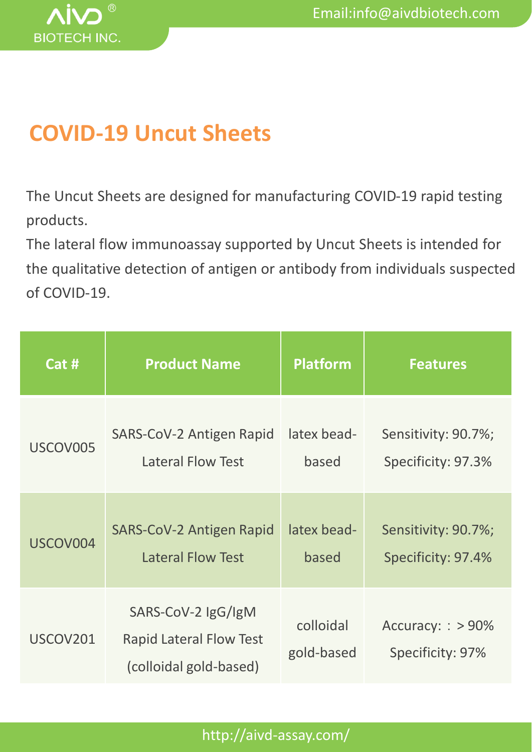

# **COVID-19 Uncut Sheets**

The Uncut Sheets are designed for manufacturing COVID-19 rapid testing products.

The lateral flow immunoassay supported by Uncut Sheets is intended for the qualitative detection of antigen or antibody from individuals suspected of COVID-19.

| Cat #    | <b>Product Name</b>                                                            | <b>Platform</b>         | <b>Features</b>                       |
|----------|--------------------------------------------------------------------------------|-------------------------|---------------------------------------|
| USCOV005 | SARS-CoV-2 Antigen Rapid                                                       | latex bead-             | Sensitivity: 90.7%;                   |
|          | <b>Lateral Flow Test</b>                                                       | based                   | Specificity: 97.3%                    |
| USCOV004 | <b>SARS-CoV-2 Antigen Rapid</b>                                                | latex bead-             | Sensitivity: 90.7%;                   |
|          | <b>Lateral Flow Test</b>                                                       | based                   | Specificity: 97.4%                    |
| USCOV201 | SARS-CoV-2 IgG/IgM<br><b>Rapid Lateral Flow Test</b><br>(colloidal gold-based) | colloidal<br>gold-based | Accuracy: : > 90%<br>Specificity: 97% |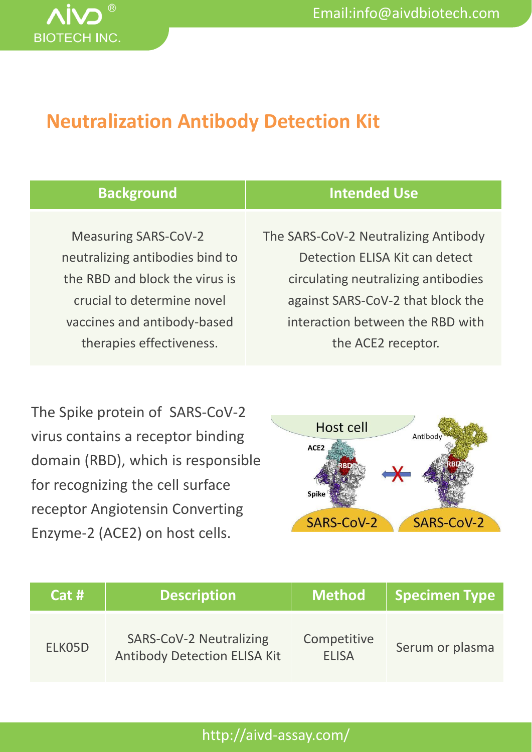

## **Neutralization Antibody Detection Kit**

| <b>Background</b>               | <b>Intended Use</b>                  |
|---------------------------------|--------------------------------------|
|                                 |                                      |
| <b>Measuring SARS-CoV-2</b>     | The SARS-CoV-2 Neutralizing Antibody |
| neutralizing antibodies bind to | Detection ELISA Kit can detect       |
| the RBD and block the virus is  | circulating neutralizing antibodies  |
| crucial to determine novel      | against SARS-CoV-2 that block the    |
| vaccines and antibody-based     | interaction between the RBD with     |
| therapies effectiveness.        | the ACE2 receptor.                   |
|                                 |                                      |

The Spike protein of SARS-CoV-2 virus contains a receptor binding domain (RBD), which is responsible for recognizing the cell surface receptor Angiotensin Converting Enzyme-2 (ACE2) on host cells.



| Cat#   | <b>Description</b>                                                    | <b>Method</b>               | <b>Specimen Type</b> |
|--------|-----------------------------------------------------------------------|-----------------------------|----------------------|
| ELK05D | <b>SARS-CoV-2 Neutralizing</b><br><b>Antibody Detection ELISA Kit</b> | Competitive<br><b>ELISA</b> | Serum or plasma      |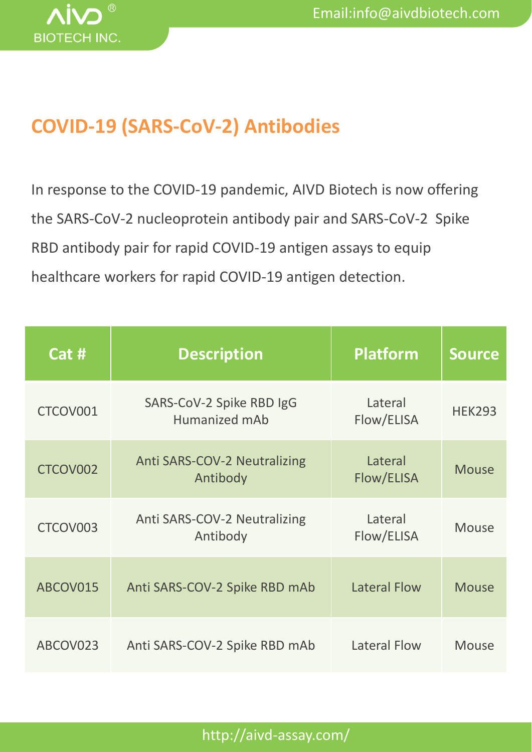

# **COVID-19 (SARS-CoV-2) Antibodies**

In response to the COVID-19 pandemic, AIVD Biotech is now offering the SARS-CoV-2 nucleoprotein antibody pair and SARS-CoV-2 Spike RBD antibody pair for rapid COVID-19 antigen assays to equip healthcare workers for rapid COVID-19 antigen detection.

| Cat #    | <b>Description</b>                              | <b>Platform</b>       | <b>Source</b> |
|----------|-------------------------------------------------|-----------------------|---------------|
| CTCOV001 | SARS-CoV-2 Spike RBD IgG<br>Humanized mAb       | Lateral<br>Flow/ELISA | <b>HEK293</b> |
| CTCOV002 | <b>Anti SARS-COV-2 Neutralizing</b><br>Antibody | Lateral<br>Flow/ELISA | <b>Mouse</b>  |
| CTCOV003 | Anti SARS-COV-2 Neutralizing<br>Antibody        | Lateral<br>Flow/ELISA | <b>Mouse</b>  |
| ABCOV015 | Anti SARS-COV-2 Spike RBD mAb                   | <b>Lateral Flow</b>   | <b>Mouse</b>  |
| ABCOV023 | Anti SARS-COV-2 Spike RBD mAb                   | <b>Lateral Flow</b>   | <b>Mouse</b>  |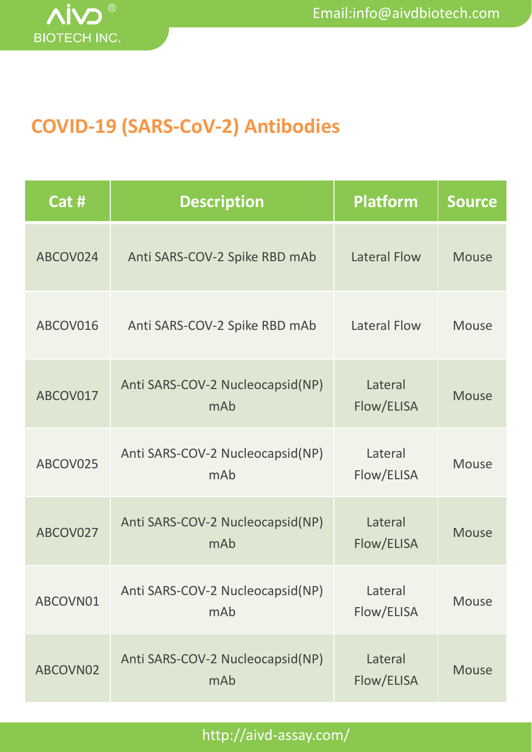

# **COVID-19 (SARS-CoV-2) Antibodies**

| Cat #    | <b>Description</b>                      | <b>Platform</b>       | <b>Source</b> |
|----------|-----------------------------------------|-----------------------|---------------|
| ABCOV024 | Anti SARS-COV-2 Spike RBD mAb           | <b>Lateral Flow</b>   | <b>Mouse</b>  |
| ABCOV016 | Anti SARS-COV-2 Spike RBD mAb           | Lateral Flow          | <b>Mouse</b>  |
| ABCOV017 | Anti SARS-COV-2 Nucleocapsid(NP)<br>mAb | Lateral<br>Flow/ELISA | <b>Mouse</b>  |
| ABCOV025 | Anti SARS-COV-2 Nucleocapsid(NP)<br>mAb | Lateral<br>Flow/ELISA | <b>Mouse</b>  |
| ABCOV027 | Anti SARS-COV-2 Nucleocapsid(NP)<br>mAb | Lateral<br>Flow/ELISA | <b>Mouse</b>  |
| ABCOVN01 | Anti SARS-COV-2 Nucleocapsid(NP)<br>mAb | Lateral<br>Flow/ELISA | <b>Mouse</b>  |
| ABCOVN02 | Anti SARS-COV-2 Nucleocapsid(NP)<br>mAb | Lateral<br>Flow/ELISA | <b>Mouse</b>  |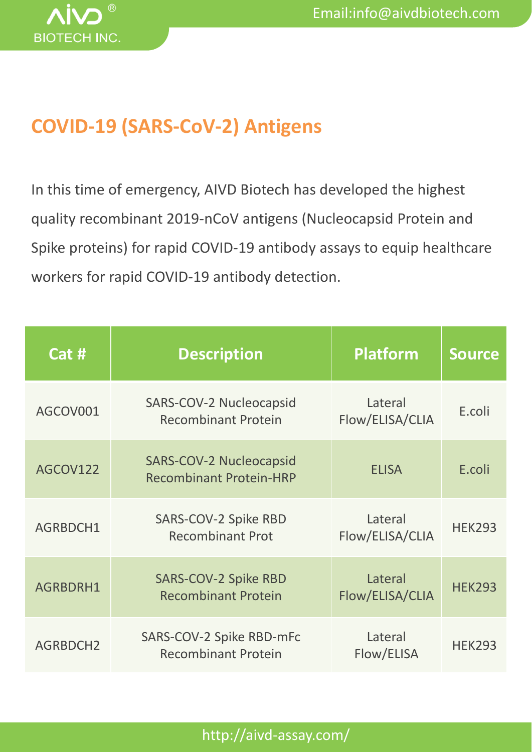

# **COVID-19 (SARS-CoV-2) Antigens**

In this time of emergency, AIVD Biotech has developed the highest quality recombinant 2019-nCoV antigens (Nucleocapsid Protein and Spike proteins) for rapid COVID-19 antibody assays to equip healthcare workers for rapid COVID-19 antibody detection.

| Cat #    | <b>Description</b>                                               | <b>Platform</b>            | <b>Source</b> |
|----------|------------------------------------------------------------------|----------------------------|---------------|
| AGCOV001 | SARS-COV-2 Nucleocapsid<br><b>Recombinant Protein</b>            | Lateral<br>Flow/ELISA/CLIA | E.coli        |
| AGCOV122 | <b>SARS-COV-2 Nucleocapsid</b><br><b>Recombinant Protein-HRP</b> | <b>ELISA</b>               | E.coli        |
| AGRBDCH1 | SARS-COV-2 Spike RBD<br><b>Recombinant Prot</b>                  | Lateral<br>Flow/ELISA/CLIA | <b>HEK293</b> |
| AGRBDRH1 | <b>SARS-COV-2 Spike RBD</b><br><b>Recombinant Protein</b>        | Lateral<br>Flow/ELISA/CLIA | <b>HEK293</b> |
| AGRBDCH2 | SARS-COV-2 Spike RBD-mFc<br><b>Recombinant Protein</b>           | Lateral<br>Flow/ELISA      | <b>HEK293</b> |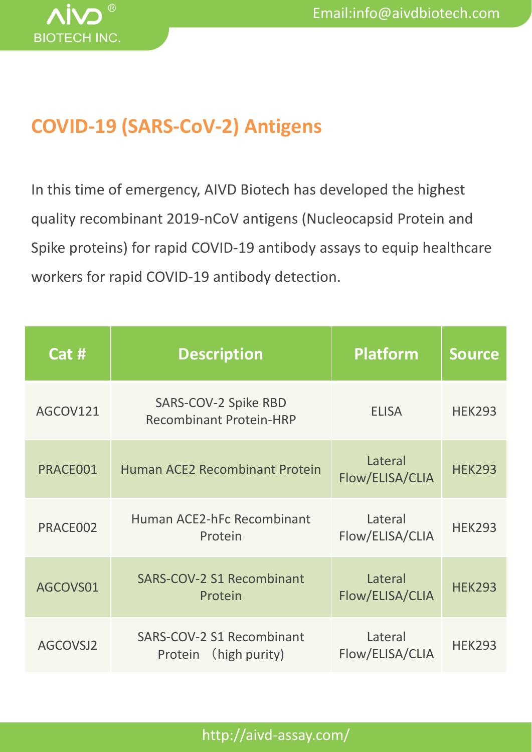

# **COVID-19 (SARS-CoV-2) Antigens**

In this time of emergency, AIVD Biotech has developed the highest quality recombinant 2019-nCoV antigens (Nucleocapsid Protein and Spike proteins) for rapid COVID-19 antibody assays to equip healthcare workers for rapid COVID-19 antibody detection.

| Cat #    | <b>Description</b>                                     | <b>Platform</b>            | <b>Source</b> |
|----------|--------------------------------------------------------|----------------------------|---------------|
| AGCOV121 | SARS-COV-2 Spike RBD<br><b>Recombinant Protein-HRP</b> | <b>ELISA</b>               | <b>HEK293</b> |
| PRACE001 | <b>Human ACE2 Recombinant Protein</b>                  | Lateral<br>Flow/ELISA/CLIA | <b>HEK293</b> |
| PRACE002 | Human ACE2-hFc Recombinant<br>Protein                  | Lateral<br>Flow/ELISA/CLIA | <b>HEK293</b> |
| AGCOVS01 | <b>SARS-COV-2 S1 Recombinant</b><br>Protein            | Lateral<br>Flow/ELISA/CLIA | <b>HEK293</b> |
| AGCOVSJ2 | SARS-COV-2 S1 Recombinant<br>Protein (high purity)     | Lateral<br>Flow/ELISA/CLIA | <b>HEK293</b> |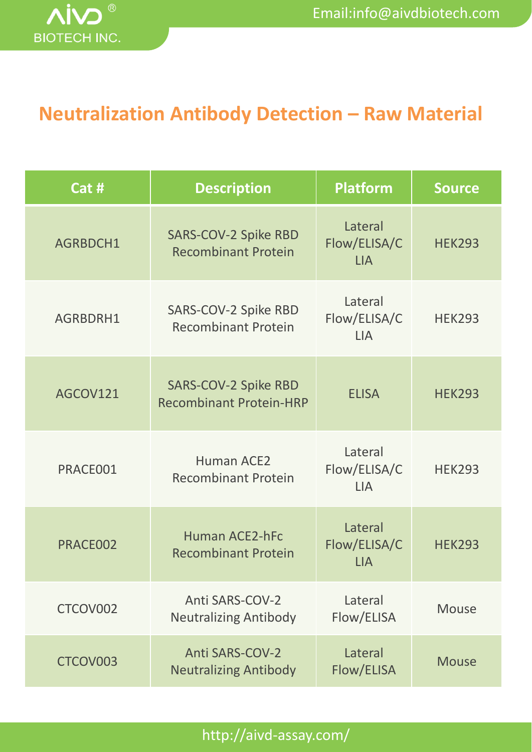

## **Neutralization Antibody Detection – Raw Material**

| Cat #    | <b>Description</b>                                            | <b>Platform</b>                       | <b>Source</b> |
|----------|---------------------------------------------------------------|---------------------------------------|---------------|
| AGRBDCH1 | <b>SARS-COV-2 Spike RBD</b><br><b>Recombinant Protein</b>     | Lateral<br>Flow/ELISA/C<br><b>LIA</b> | <b>HEK293</b> |
| AGRBDRH1 | SARS-COV-2 Spike RBD<br><b>Recombinant Protein</b>            | Lateral<br>Flow/ELISA/C<br><b>LIA</b> | <b>HEK293</b> |
| AGCOV121 | <b>SARS-COV-2 Spike RBD</b><br><b>Recombinant Protein-HRP</b> | <b>ELISA</b>                          | <b>HEK293</b> |
| PRACE001 | <b>Human ACE2</b><br><b>Recombinant Protein</b>               | Lateral<br>Flow/ELISA/C<br><b>LIA</b> | <b>HEK293</b> |
| PRACE002 | <b>Human ACE2-hFc</b><br><b>Recombinant Protein</b>           | Lateral<br>Flow/ELISA/C<br><b>LIA</b> | <b>HEK293</b> |
| CTCOV002 | <b>Anti SARS-COV-2</b><br><b>Neutralizing Antibody</b>        | Lateral<br>Flow/ELISA                 | <b>Mouse</b>  |
| CTCOV003 | <b>Anti SARS-COV-2</b><br><b>Neutralizing Antibody</b>        | Lateral<br>Flow/ELISA                 | <b>Mouse</b>  |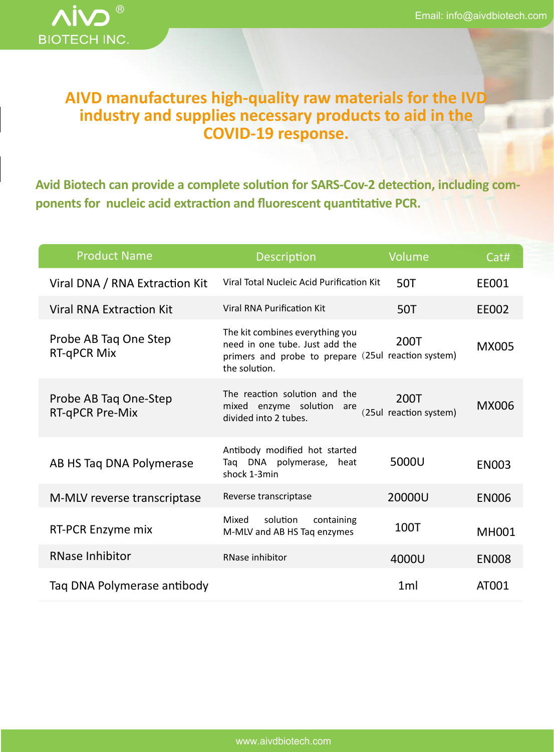

## **AIVD manufactures high-quality raw materials for the IVD industry and supplies necessary products to aid in the COVID-19 response.**

**Avid Biotech can provide a complete solution for SARS-Cov-2 detection, including components for nucleic acid extraction and fluorescent quantitative PCR.**

| <b>Product Name</b>                         | <b>Description</b>                                                                                                                        | Volume                         | Cat#         |
|---------------------------------------------|-------------------------------------------------------------------------------------------------------------------------------------------|--------------------------------|--------------|
| Viral DNA / RNA Extraction Kit              | Viral Total Nucleic Acid Purification Kit                                                                                                 | 50T                            | EE001        |
| <b>Viral RNA Extraction Kit</b>             | <b>Viral RNA Purification Kit</b>                                                                                                         | 50T                            | EE002        |
| Probe AB Tag One Step<br><b>RT-qPCR Mix</b> | The kit combines everything you<br>need in one tube. Just add the<br>primers and probe to prepare (25ul reaction system)<br>the solution. | 200T                           | <b>MX005</b> |
| Probe AB Tag One-Step<br>RT-qPCR Pre-Mix    | The reaction solution and the<br>mixed enzyme solution<br>are<br>divided into 2 tubes.                                                    | 200T<br>(25ul reaction system) | <b>MX006</b> |
| AB HS Tag DNA Polymerase                    | Antibody modified hot started<br>Taq DNA polymerase, heat<br>shock 1-3min                                                                 | 5000U                          | <b>EN003</b> |
| M-MLV reverse transcriptase                 | Reverse transcriptase                                                                                                                     | 20000U                         | <b>EN006</b> |
| RT-PCR Enzyme mix                           | solution<br>Mixed<br>containing<br>M-MLV and AB HS Taq enzymes                                                                            | 100T                           | <b>MH001</b> |
| <b>RNase Inhibitor</b>                      | RNase inhibitor                                                                                                                           | 4000U                          | <b>EN008</b> |
| Taq DNA Polymerase antibody                 |                                                                                                                                           | 1 <sub>m</sub>                 | AT001        |